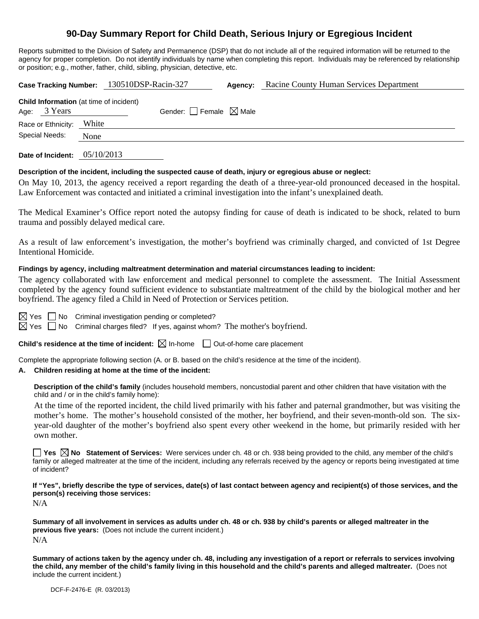# **90-Day Summary Report for Child Death, Serious Injury or Egregious Incident**

Reports submitted to the Division of Safety and Permanence (DSP) that do not include all of the required information will be returned to the agency for proper completion. Do not identify individuals by name when completing this report. Individuals may be referenced by relationship or position; e.g., mother, father, child, sibling, physician, detective, etc.

|                                                                |            | Case Tracking Number: 130510DSP-Racin-327 |                                 | Agency: | Racine County Human Services Department |  |  |
|----------------------------------------------------------------|------------|-------------------------------------------|---------------------------------|---------|-----------------------------------------|--|--|
| <b>Child Information</b> (at time of incident)<br>Age: 3 Years |            |                                           | Gender: Female $\boxtimes$ Male |         |                                         |  |  |
| Race or Ethnicity:                                             | White      |                                           |                                 |         |                                         |  |  |
| Special Needs:                                                 | None       |                                           |                                 |         |                                         |  |  |
| Date of Incident:                                              | 05/10/2013 |                                           |                                 |         |                                         |  |  |

### **Description of the incident, including the suspected cause of death, injury or egregious abuse or neglect:**

On May 10, 2013, the agency received a report regarding the death of a three-year-old pronounced deceased in the hospital. Law Enforcement was contacted and initiated a criminal investigation into the infant's unexplained death.

The Medical Examiner's Office report noted the autopsy finding for cause of death is indicated to be shock, related to burn trauma and possibly delayed medical care.

As a result of law enforcement's investigation, the mother's boyfriend was criminally charged, and convicted of 1st Degree Intentional Homicide.

#### **Findings by agency, including maltreatment determination and material circumstances leading to incident:**

The agency collaborated with law enforcement and medical personnel to complete the assessment. The Initial Assessment completed by the agency found sufficient evidence to substantiate maltreatment of the child by the biological mother and her boyfriend. The agency filed a Child in Need of Protection or Services petition.

 $\boxtimes$  Yes  $\Box$  No Criminal investigation pending or completed?

 $\boxtimes$  Yes  $\Box$  No Criminal charges filed? If yes, against whom? The mother's boyfriend.

**Child's residence at the time of incident:**  $\boxtimes$  In-home  $\Box$  Out-of-home care placement

Complete the appropriate following section (A. or B. based on the child's residence at the time of the incident).

#### **A. Children residing at home at the time of the incident:**

**Description of the child's family** (includes household members, noncustodial parent and other children that have visitation with the child and / or in the child's family home):

 At the time of the reported incident, the child lived primarily with his father and paternal grandmother, but was visiting the mother's home. The mother's household consisted of the mother, her boyfriend, and their seven-month-old son. The sixyear-old daughter of the mother's boyfriend also spent every other weekend in the home, but primarily resided with her own mother.

**Yes No Statement of Services:** Were services under ch. 48 or ch. 938 being provided to the child, any member of the child's family or alleged maltreater at the time of the incident, including any referrals received by the agency or reports being investigated at time of incident?

**If "Yes", briefly describe the type of services, date(s) of last contact between agency and recipient(s) of those services, and the person(s) receiving those services:** 

N/A

**Summary of all involvement in services as adults under ch. 48 or ch. 938 by child's parents or alleged maltreater in the previous five years:** (Does not include the current incident.) N/A

**Summary of actions taken by the agency under ch. 48, including any investigation of a report or referrals to services involving the child, any member of the child's family living in this household and the child's parents and alleged maltreater.** (Does not include the current incident.)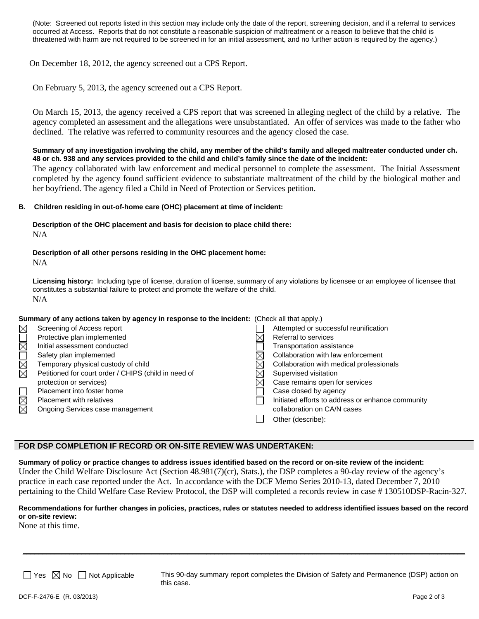(Note: Screened out reports listed in this section may include only the date of the report, screening decision, and if a referral to services occurred at Access. Reports that do not constitute a reasonable suspicion of maltreatment or a reason to believe that the child is threatened with harm are not required to be screened in for an initial assessment, and no further action is required by the agency.)

On December 18, 2012, the agency screened out a CPS Report.

On February 5, 2013, the agency screened out a CPS Report.

On March 15, 2013, the agency received a CPS report that was screened in alleging neglect of the child by a relative. The agency completed an assessment and the allegations were unsubstantiated. An offer of services was made to the father who declined. The relative was referred to community resources and the agency closed the case.

**Summary of any investigation involving the child, any member of the child's family and alleged maltreater conducted under ch. 48 or ch. 938 and any services provided to the child and child's family since the date of the incident:** 

The agency collaborated with law enforcement and medical personnel to complete the assessment. The Initial Assessment completed by the agency found sufficient evidence to substantiate maltreatment of the child by the biological mother and her boyfriend. The agency filed a Child in Need of Protection or Services petition.

#### **B. Children residing in out-of-home care (OHC) placement at time of incident:**

**Description of the OHC placement and basis for decision to place child there:**  N/A

**Description of all other persons residing in the OHC placement home:**  N/A

**Licensing history:** Including type of license, duration of license, summary of any violations by licensee or an employee of licensee that constitutes a substantial failure to protect and promote the welfare of the child. N/A

**Summary of any actions taken by agency in response to the incident:** (Check all that apply.)

| $\boxtimes$ | Screening of Access report                           | Attempted or successful reunification             |
|-------------|------------------------------------------------------|---------------------------------------------------|
|             | Protective plan implemented                          | Referral to services                              |
| $\Box$      | Initial assessment conducted                         | Transportation assistance                         |
|             | Safety plan implemented                              | Collaboration with law enforcement                |
| N<br>M<br>M | Temporary physical custody of child                  | Collaboration with medical professionals          |
|             | Petitioned for court order / CHIPS (child in need of | Supervised visitation                             |
|             | protection or services)                              | Case remains open for services                    |
| $\Box$      | Placement into foster home                           | Case closed by agency                             |
| $\boxtimes$ | <b>Placement with relatives</b>                      | Initiated efforts to address or enhance community |
| ⊠           | Ongoing Services case management                     | collaboration on CA/N cases                       |
|             |                                                      | Other (describe):                                 |
|             |                                                      |                                                   |

#### **FOR DSP COMPLETION IF RECORD OR ON-SITE REVIEW WAS UNDERTAKEN:**

**Summary of policy or practice changes to address issues identified based on the record or on-site review of the incident:**  Under the Child Welfare Disclosure Act (Section 48.981(7)(cr), Stats.), the DSP completes a 90-day review of the agency's practice in each case reported under the Act. In accordance with the DCF Memo Series 2010-13, dated December 7, 2010 pertaining to the Child Welfare Case Review Protocol, the DSP will completed a records review in case # 130510DSP-Racin-327.

## **Recommendations for further changes in policies, practices, rules or statutes needed to address identified issues based on the record or on-site review:**

\_\_\_\_\_\_\_\_\_\_\_\_\_\_\_\_\_\_\_\_\_\_\_\_\_\_\_\_\_\_\_\_\_\_\_\_\_\_\_\_\_\_\_\_\_\_\_\_\_\_\_\_\_\_\_\_\_\_\_\_\_\_\_\_\_\_\_\_\_\_\_\_\_\_\_\_\_\_\_\_\_\_\_\_\_\_\_\_\_\_\_\_\_\_\_\_\_\_\_\_\_\_\_\_\_\_\_\_\_\_\_\_\_

None at this time.

 $\Box$  Yes  $\boxtimes$  No  $\Box$  Not Applicable This 90-day summary report completes the Division of Safety and Permanence (DSP) action on this case.